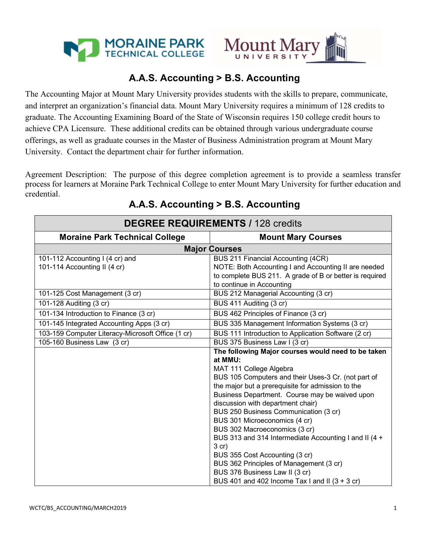



# **A.A.S. Accounting > B.S. Accounting**

The Accounting Major at Mount Mary University provides students with the skills to prepare, communicate, and interpret an organization's financial data. Mount Mary University requires a minimum of 128 credits to graduate. The Accounting Examining Board of the State of Wisconsin requires 150 college credit hours to achieve CPA Licensure. These additional credits can be obtained through various undergraduate course offerings, as well as graduate courses in the Master of Business Administration program at Mount Mary University. Contact the department chair for further information.

Agreement Description: The purpose of this degree completion agreement is to provide a seamless transfer process for learners at Moraine Park Technical College to enter Mount Mary University for further education and credential.

| <b>DEGREE REQUIREMENTS / 128 credits</b>                        |                                                                                                                                                                                                                                                                                                                                                                                                                                                                                                                                                                                                                                               |
|-----------------------------------------------------------------|-----------------------------------------------------------------------------------------------------------------------------------------------------------------------------------------------------------------------------------------------------------------------------------------------------------------------------------------------------------------------------------------------------------------------------------------------------------------------------------------------------------------------------------------------------------------------------------------------------------------------------------------------|
| <b>Moraine Park Technical College</b>                           | <b>Mount Mary Courses</b>                                                                                                                                                                                                                                                                                                                                                                                                                                                                                                                                                                                                                     |
| <b>Major Courses</b>                                            |                                                                                                                                                                                                                                                                                                                                                                                                                                                                                                                                                                                                                                               |
| 101-112 Accounting I (4 cr) and<br>101-114 Accounting II (4 cr) | BUS 211 Financial Accounting (4CR)<br>NOTE: Both Accounting I and Accounting II are needed<br>to complete BUS 211. A grade of B or better is required<br>to continue in Accounting                                                                                                                                                                                                                                                                                                                                                                                                                                                            |
| 101-125 Cost Management (3 cr)                                  | BUS 212 Managerial Accounting (3 cr)                                                                                                                                                                                                                                                                                                                                                                                                                                                                                                                                                                                                          |
| 101-128 Auditing (3 cr)                                         | BUS 411 Auditing (3 cr)                                                                                                                                                                                                                                                                                                                                                                                                                                                                                                                                                                                                                       |
| 101-134 Introduction to Finance (3 cr)                          | BUS 462 Principles of Finance (3 cr)                                                                                                                                                                                                                                                                                                                                                                                                                                                                                                                                                                                                          |
| 101-145 Integrated Accounting Apps (3 cr)                       | BUS 335 Management Information Systems (3 cr)                                                                                                                                                                                                                                                                                                                                                                                                                                                                                                                                                                                                 |
| 103-159 Computer Literacy-Microsoft Office (1 cr)               | BUS 111 Introduction to Application Software (2 cr)                                                                                                                                                                                                                                                                                                                                                                                                                                                                                                                                                                                           |
| 105-160 Business Law (3 cr)                                     | BUS 375 Business Law I (3 cr)                                                                                                                                                                                                                                                                                                                                                                                                                                                                                                                                                                                                                 |
|                                                                 | The following Major courses would need to be taken<br>at MMU:<br>MAT 111 College Algebra<br>BUS 105 Computers and their Uses-3 Cr. (not part of<br>the major but a prerequisite for admission to the<br>Business Department. Course may be waived upon<br>discussion with department chair)<br>BUS 250 Business Communication (3 cr)<br>BUS 301 Microeconomics (4 cr)<br>BUS 302 Macroeconomics (3 cr)<br>BUS 313 and 314 Intermediate Accounting I and II (4 +<br>$3$ cr)<br>BUS 355 Cost Accounting (3 cr)<br>BUS 362 Principles of Management (3 cr)<br>BUS 376 Business Law II (3 cr)<br>BUS 401 and 402 Income Tax I and II $(3 + 3$ cr) |

# **A.A.S. Accounting > B.S. Accounting**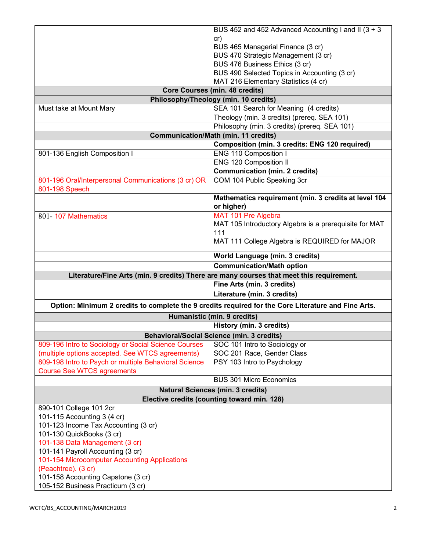|                                                           | BUS 452 and 452 Advanced Accounting I and II (3 + 3                                                 |
|-----------------------------------------------------------|-----------------------------------------------------------------------------------------------------|
|                                                           | cr)                                                                                                 |
|                                                           | BUS 465 Managerial Finance (3 cr)                                                                   |
|                                                           | BUS 470 Strategic Management (3 cr)                                                                 |
|                                                           | BUS 476 Business Ethics (3 cr)                                                                      |
|                                                           | BUS 490 Selected Topics in Accounting (3 cr)                                                        |
|                                                           | MAT 216 Elementary Statistics (4 cr)                                                                |
| <b>Core Courses (min. 48 credits)</b>                     |                                                                                                     |
|                                                           | Philosophy/Theology (min. 10 credits)                                                               |
| Must take at Mount Mary                                   | SEA 101 Search for Meaning (4 credits)                                                              |
|                                                           | Theology (min. 3 credits) (prereq. SEA 101)                                                         |
|                                                           | Philosophy (min. 3 credits) (prereq. SEA 101)                                                       |
|                                                           | <b>Communication/Math (min. 11 credits)</b>                                                         |
|                                                           | Composition (min. 3 credits: ENG 120 required)                                                      |
| 801-136 English Composition I                             | <b>ENG 110 Composition I</b>                                                                        |
|                                                           | <b>ENG 120 Composition II</b>                                                                       |
|                                                           | <b>Communication (min. 2 credits)</b>                                                               |
| 801-196 Oral/Interpersonal Communications (3 cr) OR       | COM 104 Public Speaking 3cr                                                                         |
| 801-198 Speech                                            |                                                                                                     |
|                                                           | Mathematics requirement (min. 3 credits at level 104                                                |
|                                                           | or higher)                                                                                          |
| 801-107 Mathematics                                       | MAT 101 Pre Algebra                                                                                 |
|                                                           | MAT 105 Introductory Algebra is a prerequisite for MAT                                              |
|                                                           | 111                                                                                                 |
|                                                           | MAT 111 College Algebra is REQUIRED for MAJOR                                                       |
|                                                           | <b>World Language (min. 3 credits)</b>                                                              |
|                                                           | <b>Communication/Math option</b>                                                                    |
|                                                           |                                                                                                     |
|                                                           | Literature/Fine Arts (min. 9 credits) There are many courses that meet this requirement.            |
|                                                           | Fine Arts (min. 3 credits)                                                                          |
|                                                           | Literature (min. 3 credits)                                                                         |
|                                                           |                                                                                                     |
|                                                           | Option: Minimum 2 credits to complete the 9 credits required for the Core Literature and Fine Arts. |
|                                                           | Humanistic (min. 9 credits)                                                                         |
|                                                           | History (min. 3 credits)                                                                            |
|                                                           | <b>Behavioral/Social Science (min. 3 credits)</b>                                                   |
| 809-196 Intro to Sociology or Social Science Courses      | SOC 101 Intro to Sociology or                                                                       |
| (multiple options accepted. See WTCS agreements)          | SOC 201 Race, Gender Class                                                                          |
| 809-198 Intro to Psych or multiple Behavioral Science     | PSY 103 Intro to Psychology                                                                         |
| <b>Course See WTCS agreements</b>                         | <b>BUS 301 Micro Economics</b>                                                                      |
|                                                           |                                                                                                     |
|                                                           | <b>Natural Sciences (min. 3 credits)</b>                                                            |
|                                                           | Elective credits (counting toward min. 128)                                                         |
| 890-101 College 101 2cr                                   |                                                                                                     |
| 101-115 Accounting 3 (4 cr)                               |                                                                                                     |
| 101-123 Income Tax Accounting (3 cr)                      |                                                                                                     |
| 101-130 QuickBooks (3 cr)                                 |                                                                                                     |
| 101-138 Data Management (3 cr)                            |                                                                                                     |
| 101-141 Payroll Accounting (3 cr)                         |                                                                                                     |
| 101-154 Microcomputer Accounting Applications             |                                                                                                     |
| (Peachtree). (3 cr)<br>101-158 Accounting Capstone (3 cr) |                                                                                                     |